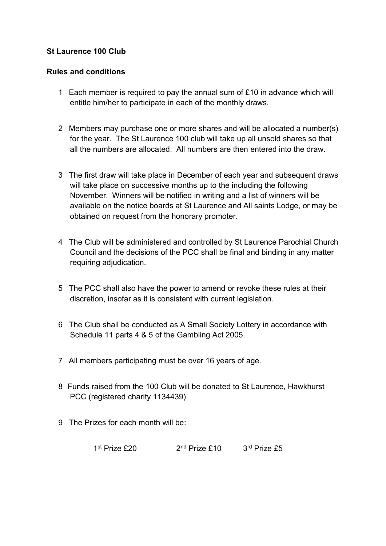## St Laurence 100 Club

## Rules and conditions

- 1 Each member is required to pay the annual sum of £10 in advance which will entitle him/her to participate in each of the monthly draws.
- 2 Members may purchase one or more shares and will be allocated a number(s) for the year. The St Laurence 100 club will take up all unsold shares so that all the numbers are allocated. All numbers are then entered into the draw.
- 3 The first draw will take place in December of each year and subsequent draws will take place on successive months up to the including the following November. Winners will be notified in writing and a list of winners will be available on the notice boards at St Laurence and All saints Lodge, or may be obtained on request from the honorary promoter.
- 4 The Club will be administered and controlled by St Laurence Parochial Church Council and the decisions of the PCC shall be final and binding in any matter requiring adjudication.
- 5 The PCC shall also have the power to amend or revoke these rules at their discretion, insofar as it is consistent with current legislation.
- 6 The Club shall be conducted as A Small Society Lottery in accordance with Schedule 11 parts 4 & 5 of the Gambling Act 2005.
- 7 All members participating must be over 16 years of age.
- 8 Funds raised from the 100 Club will be donated to St Laurence, Hawkhurst PCC (registered charity 1134439)
- 9 The Prizes for each month will be:

1<sup>st</sup> Prize £20 2<sup>nd</sup> Prize £10 3<sup>rd</sup> Prize £5